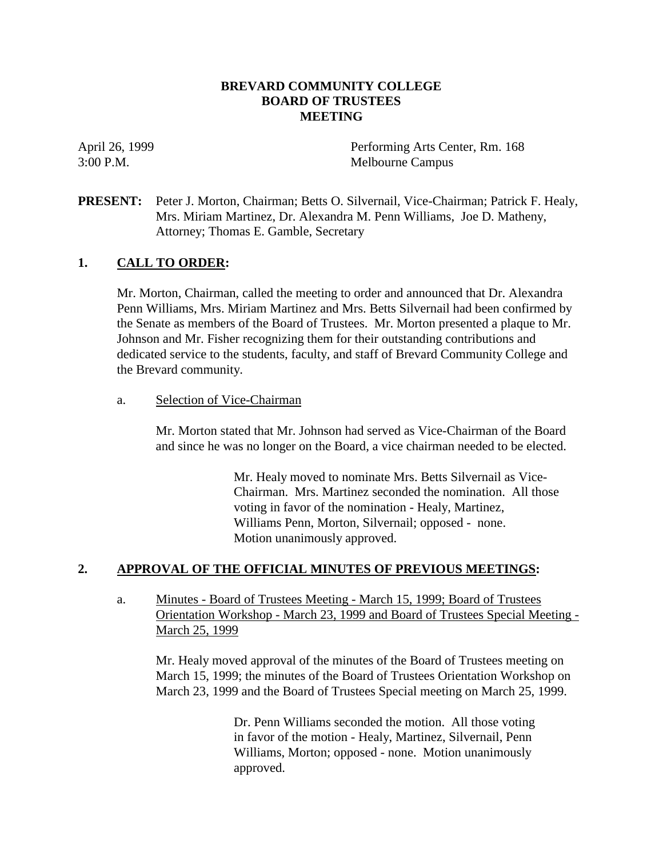# **BREVARD COMMUNITY COLLEGE BOARD OF TRUSTEES MEETING**

April 26, 1999 Performing Arts Center, Rm. 168 3:00 P.M. Melbourne Campus

# **PRESENT:** Peter J. Morton, Chairman; Betts O. Silvernail, Vice-Chairman; Patrick F. Healy, Mrs. Miriam Martinez, Dr. Alexandra M. Penn Williams, Joe D. Matheny, Attorney; Thomas E. Gamble, Secretary

# **1. CALL TO ORDER:**

Mr. Morton, Chairman, called the meeting to order and announced that Dr. Alexandra Penn Williams, Mrs. Miriam Martinez and Mrs. Betts Silvernail had been confirmed by the Senate as members of the Board of Trustees. Mr. Morton presented a plaque to Mr. Johnson and Mr. Fisher recognizing them for their outstanding contributions and dedicated service to the students, faculty, and staff of Brevard Community College and the Brevard community.

## a. Selection of Vice-Chairman

Mr. Morton stated that Mr. Johnson had served as Vice-Chairman of the Board and since he was no longer on the Board, a vice chairman needed to be elected.

> Mr. Healy moved to nominate Mrs. Betts Silvernail as Vice-Chairman. Mrs. Martinez seconded the nomination. All those voting in favor of the nomination - Healy, Martinez, Williams Penn, Morton, Silvernail; opposed - none. Motion unanimously approved.

# **2. APPROVAL OF THE OFFICIAL MINUTES OF PREVIOUS MEETINGS:**

a. Minutes - Board of Trustees Meeting - March 15, 1999; Board of Trustees Orientation Workshop - March 23, 1999 and Board of Trustees Special Meeting - March 25, 1999

Mr. Healy moved approval of the minutes of the Board of Trustees meeting on March 15, 1999; the minutes of the Board of Trustees Orientation Workshop on March 23, 1999 and the Board of Trustees Special meeting on March 25, 1999.

> Dr. Penn Williams seconded the motion. All those voting in favor of the motion - Healy, Martinez, Silvernail, Penn Williams, Morton; opposed - none. Motion unanimously approved.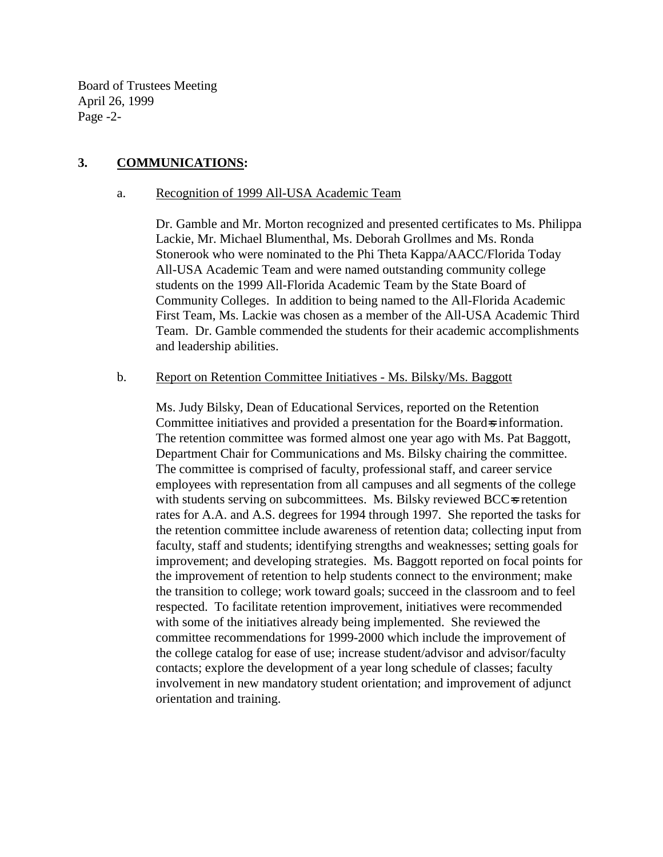Board of Trustees Meeting April 26, 1999 Page -2-

# **3. COMMUNICATIONS:**

#### a. Recognition of 1999 All-USA Academic Team

Dr. Gamble and Mr. Morton recognized and presented certificates to Ms. Philippa Lackie, Mr. Michael Blumenthal, Ms. Deborah Grollmes and Ms. Ronda Stonerook who were nominated to the Phi Theta Kappa/AACC/Florida Today All-USA Academic Team and were named outstanding community college students on the 1999 All-Florida Academic Team by the State Board of Community Colleges. In addition to being named to the All-Florida Academic First Team, Ms. Lackie was chosen as a member of the All-USA Academic Third Team. Dr. Gamble commended the students for their academic accomplishments and leadership abilities.

#### b. Report on Retention Committee Initiatives - Ms. Bilsky/Ms. Baggott

Ms. Judy Bilsky, Dean of Educational Services, reported on the Retention Committee initiatives and provided a presentation for the Board=s information. The retention committee was formed almost one year ago with Ms. Pat Baggott, Department Chair for Communications and Ms. Bilsky chairing the committee. The committee is comprised of faculty, professional staff, and career service employees with representation from all campuses and all segments of the college with students serving on subcommittees. Ms. Bilsky reviewed BCC=s retention rates for A.A. and A.S. degrees for 1994 through 1997. She reported the tasks for the retention committee include awareness of retention data; collecting input from faculty, staff and students; identifying strengths and weaknesses; setting goals for improvement; and developing strategies. Ms. Baggott reported on focal points for the improvement of retention to help students connect to the environment; make the transition to college; work toward goals; succeed in the classroom and to feel respected. To facilitate retention improvement, initiatives were recommended with some of the initiatives already being implemented. She reviewed the committee recommendations for 1999-2000 which include the improvement of the college catalog for ease of use; increase student/advisor and advisor/faculty contacts; explore the development of a year long schedule of classes; faculty involvement in new mandatory student orientation; and improvement of adjunct orientation and training.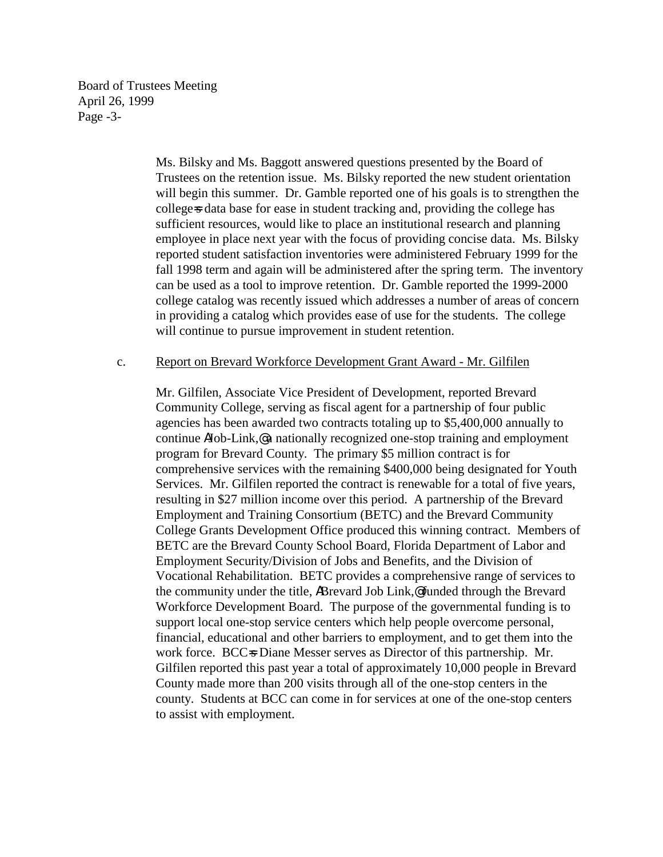Board of Trustees Meeting April 26, 1999 Page -3-

> Ms. Bilsky and Ms. Baggott answered questions presented by the Board of Trustees on the retention issue. Ms. Bilsky reported the new student orientation will begin this summer. Dr. Gamble reported one of his goals is to strengthen the college=s data base for ease in student tracking and, providing the college has sufficient resources, would like to place an institutional research and planning employee in place next year with the focus of providing concise data. Ms. Bilsky reported student satisfaction inventories were administered February 1999 for the fall 1998 term and again will be administered after the spring term. The inventory can be used as a tool to improve retention. Dr. Gamble reported the 1999-2000 college catalog was recently issued which addresses a number of areas of concern in providing a catalog which provides ease of use for the students. The college will continue to pursue improvement in student retention.

#### c. Report on Brevard Workforce Development Grant Award - Mr. Gilfilen

Mr. Gilfilen, Associate Vice President of Development, reported Brevard Community College, serving as fiscal agent for a partnership of four public agencies has been awarded two contracts totaling up to \$5,400,000 annually to continue AJob-Link,@ a nationally recognized one-stop training and employment program for Brevard County. The primary \$5 million contract is for comprehensive services with the remaining \$400,000 being designated for Youth Services. Mr. Gilfilen reported the contract is renewable for a total of five years, resulting in \$27 million income over this period. A partnership of the Brevard Employment and Training Consortium (BETC) and the Brevard Community College Grants Development Office produced this winning contract. Members of BETC are the Brevard County School Board, Florida Department of Labor and Employment Security/Division of Jobs and Benefits, and the Division of Vocational Rehabilitation. BETC provides a comprehensive range of services to the community under the title, ABrevard Job Link,@ funded through the Brevard Workforce Development Board. The purpose of the governmental funding is to support local one-stop service centers which help people overcome personal, financial, educational and other barriers to employment, and to get them into the work force. BCC=s Diane Messer serves as Director of this partnership. Mr. Gilfilen reported this past year a total of approximately 10,000 people in Brevard County made more than 200 visits through all of the one-stop centers in the county. Students at BCC can come in for services at one of the one-stop centers to assist with employment.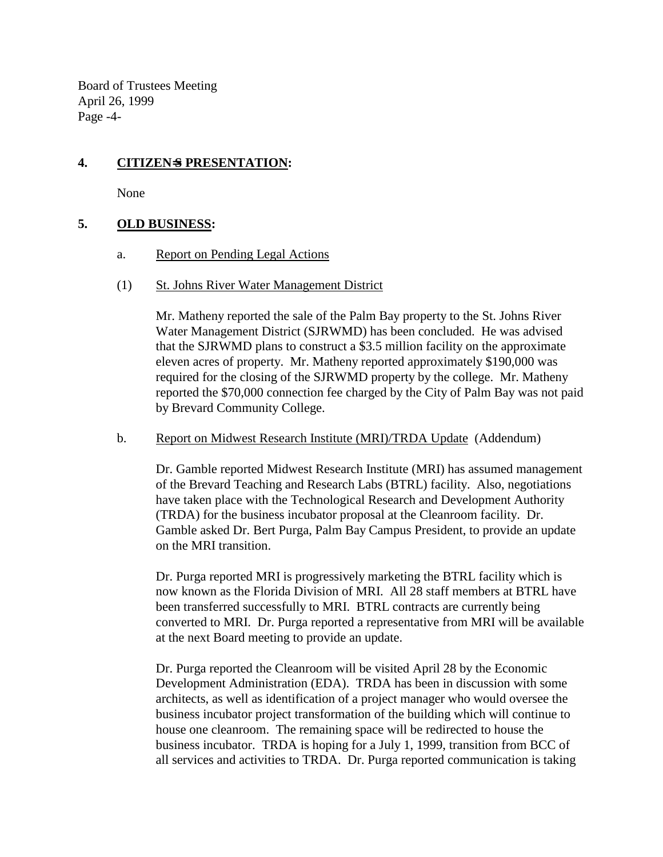Board of Trustees Meeting April 26, 1999 Page -4-

# **4. CITIZEN**=**S PRESENTATION:**

None

## **5. OLD BUSINESS:**

- a. Report on Pending Legal Actions
- (1) St. Johns River Water Management District

Mr. Matheny reported the sale of the Palm Bay property to the St. Johns River Water Management District (SJRWMD) has been concluded. He was advised that the SJRWMD plans to construct a \$3.5 million facility on the approximate eleven acres of property. Mr. Matheny reported approximately \$190,000 was required for the closing of the SJRWMD property by the college. Mr. Matheny reported the \$70,000 connection fee charged by the City of Palm Bay was not paid by Brevard Community College.

## b. Report on Midwest Research Institute (MRI)/TRDA Update (Addendum)

Dr. Gamble reported Midwest Research Institute (MRI) has assumed management of the Brevard Teaching and Research Labs (BTRL) facility. Also, negotiations have taken place with the Technological Research and Development Authority (TRDA) for the business incubator proposal at the Cleanroom facility. Dr. Gamble asked Dr. Bert Purga, Palm Bay Campus President, to provide an update on the MRI transition.

Dr. Purga reported MRI is progressively marketing the BTRL facility which is now known as the Florida Division of MRI. All 28 staff members at BTRL have been transferred successfully to MRI. BTRL contracts are currently being converted to MRI. Dr. Purga reported a representative from MRI will be available at the next Board meeting to provide an update.

Dr. Purga reported the Cleanroom will be visited April 28 by the Economic Development Administration (EDA). TRDA has been in discussion with some architects, as well as identification of a project manager who would oversee the business incubator project transformation of the building which will continue to house one cleanroom. The remaining space will be redirected to house the business incubator. TRDA is hoping for a July 1, 1999, transition from BCC of all services and activities to TRDA. Dr. Purga reported communication is taking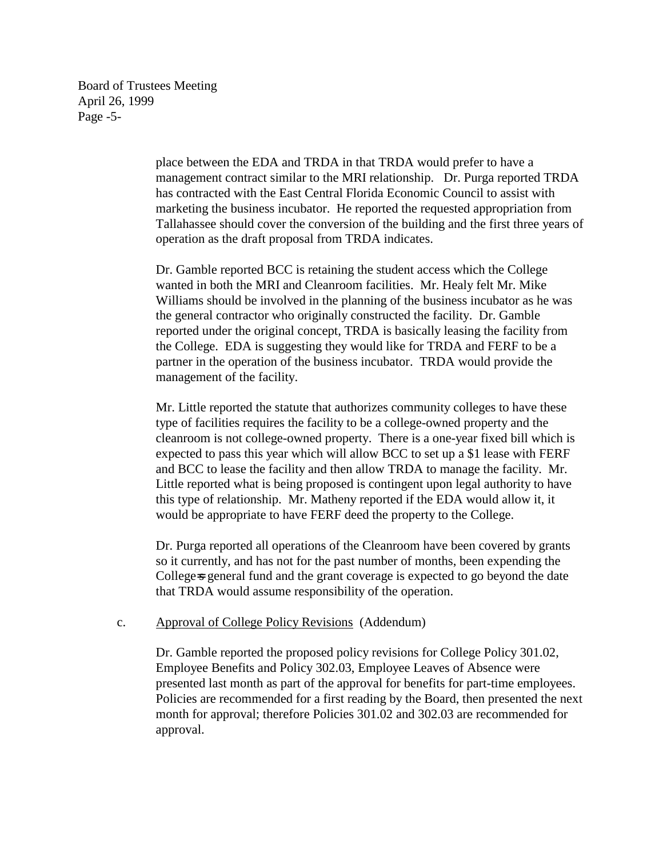Board of Trustees Meeting April 26, 1999 Page -5-

> place between the EDA and TRDA in that TRDA would prefer to have a management contract similar to the MRI relationship. Dr. Purga reported TRDA has contracted with the East Central Florida Economic Council to assist with marketing the business incubator. He reported the requested appropriation from Tallahassee should cover the conversion of the building and the first three years of operation as the draft proposal from TRDA indicates.

Dr. Gamble reported BCC is retaining the student access which the College wanted in both the MRI and Cleanroom facilities. Mr. Healy felt Mr. Mike Williams should be involved in the planning of the business incubator as he was the general contractor who originally constructed the facility. Dr. Gamble reported under the original concept, TRDA is basically leasing the facility from the College. EDA is suggesting they would like for TRDA and FERF to be a partner in the operation of the business incubator. TRDA would provide the management of the facility.

Mr. Little reported the statute that authorizes community colleges to have these type of facilities requires the facility to be a college-owned property and the cleanroom is not college-owned property. There is a one-year fixed bill which is expected to pass this year which will allow BCC to set up a \$1 lease with FERF and BCC to lease the facility and then allow TRDA to manage the facility. Mr. Little reported what is being proposed is contingent upon legal authority to have this type of relationship. Mr. Matheny reported if the EDA would allow it, it would be appropriate to have FERF deed the property to the College.

Dr. Purga reported all operations of the Cleanroom have been covered by grants so it currently, and has not for the past number of months, been expending the College=s general fund and the grant coverage is expected to go beyond the date that TRDA would assume responsibility of the operation.

## c. Approval of College Policy Revisions (Addendum)

Dr. Gamble reported the proposed policy revisions for College Policy 301.02, Employee Benefits and Policy 302.03, Employee Leaves of Absence were presented last month as part of the approval for benefits for part-time employees. Policies are recommended for a first reading by the Board, then presented the next month for approval; therefore Policies 301.02 and 302.03 are recommended for approval.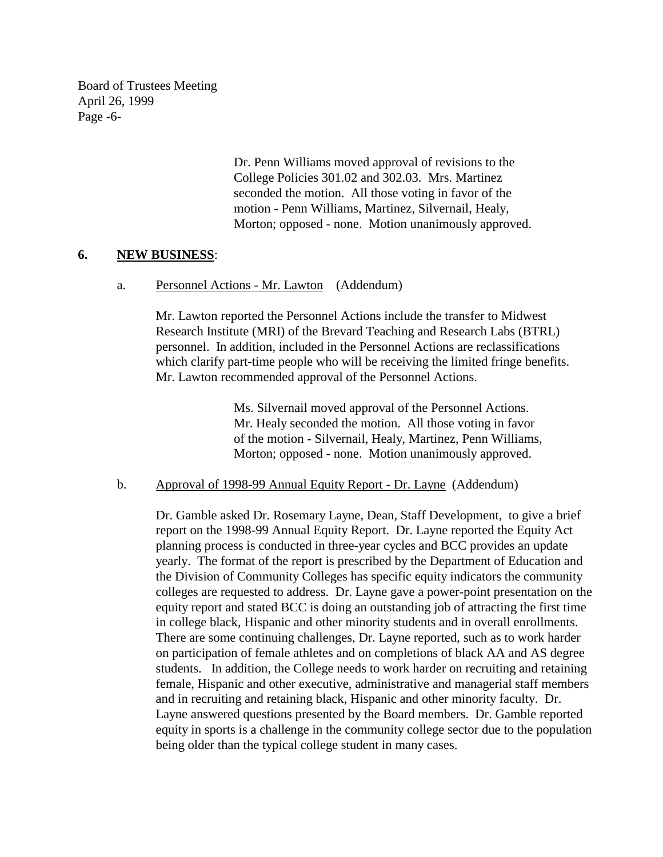Board of Trustees Meeting April 26, 1999 Page -6-

> Dr. Penn Williams moved approval of revisions to the College Policies 301.02 and 302.03. Mrs. Martinez seconded the motion. All those voting in favor of the motion - Penn Williams, Martinez, Silvernail, Healy, Morton; opposed - none. Motion unanimously approved.

## **6. NEW BUSINESS**:

#### a. Personnel Actions - Mr. Lawton (Addendum)

Mr. Lawton reported the Personnel Actions include the transfer to Midwest Research Institute (MRI) of the Brevard Teaching and Research Labs (BTRL) personnel. In addition, included in the Personnel Actions are reclassifications which clarify part-time people who will be receiving the limited fringe benefits. Mr. Lawton recommended approval of the Personnel Actions.

> Ms. Silvernail moved approval of the Personnel Actions. Mr. Healy seconded the motion. All those voting in favor of the motion - Silvernail, Healy, Martinez, Penn Williams, Morton; opposed - none. Motion unanimously approved.

#### b. Approval of 1998-99 Annual Equity Report - Dr. Layne (Addendum)

Dr. Gamble asked Dr. Rosemary Layne, Dean, Staff Development, to give a brief report on the 1998-99 Annual Equity Report. Dr. Layne reported the Equity Act planning process is conducted in three-year cycles and BCC provides an update yearly. The format of the report is prescribed by the Department of Education and the Division of Community Colleges has specific equity indicators the community colleges are requested to address. Dr. Layne gave a power-point presentation on the equity report and stated BCC is doing an outstanding job of attracting the first time in college black, Hispanic and other minority students and in overall enrollments. There are some continuing challenges, Dr. Layne reported, such as to work harder on participation of female athletes and on completions of black AA and AS degree students. In addition, the College needs to work harder on recruiting and retaining female, Hispanic and other executive, administrative and managerial staff members and in recruiting and retaining black, Hispanic and other minority faculty. Dr. Layne answered questions presented by the Board members. Dr. Gamble reported equity in sports is a challenge in the community college sector due to the population being older than the typical college student in many cases.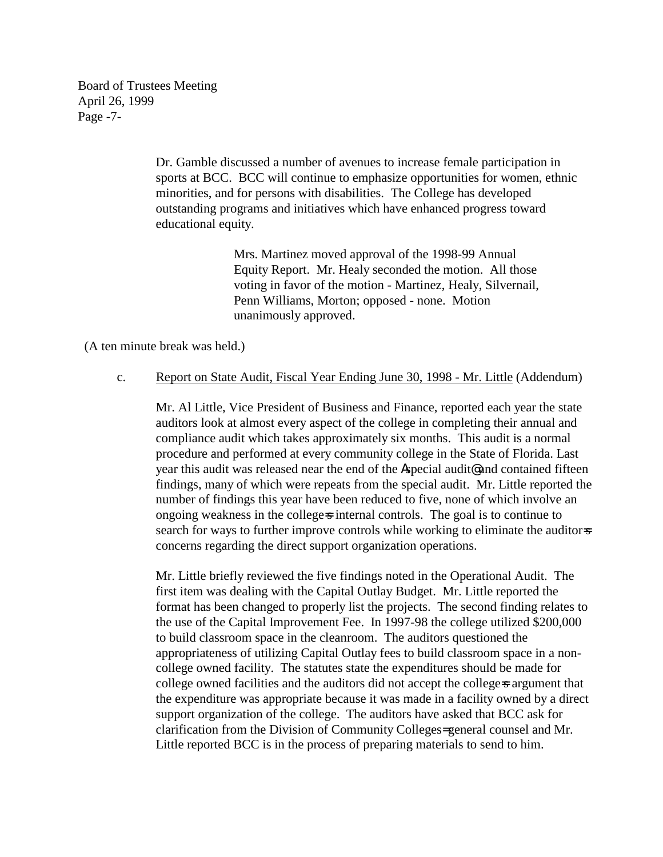Board of Trustees Meeting April 26, 1999 Page -7-

> Dr. Gamble discussed a number of avenues to increase female participation in sports at BCC. BCC will continue to emphasize opportunities for women, ethnic minorities, and for persons with disabilities. The College has developed outstanding programs and initiatives which have enhanced progress toward educational equity.

> > Mrs. Martinez moved approval of the 1998-99 Annual Equity Report. Mr. Healy seconded the motion. All those voting in favor of the motion - Martinez, Healy, Silvernail, Penn Williams, Morton; opposed - none. Motion unanimously approved.

(A ten minute break was held.)

#### c. Report on State Audit, Fiscal Year Ending June 30, 1998 - Mr. Little (Addendum)

Mr. Al Little, Vice President of Business and Finance, reported each year the state auditors look at almost every aspect of the college in completing their annual and compliance audit which takes approximately six months. This audit is a normal procedure and performed at every community college in the State of Florida. Last year this audit was released near the end of the Aspecial audit@ and contained fifteen findings, many of which were repeats from the special audit. Mr. Little reported the number of findings this year have been reduced to five, none of which involve an ongoing weakness in the college=s internal controls. The goal is to continue to search for ways to further improve controls while working to eliminate the auditor-s concerns regarding the direct support organization operations.

Mr. Little briefly reviewed the five findings noted in the Operational Audit. The first item was dealing with the Capital Outlay Budget. Mr. Little reported the format has been changed to properly list the projects. The second finding relates to the use of the Capital Improvement Fee. In 1997-98 the college utilized \$200,000 to build classroom space in the cleanroom. The auditors questioned the appropriateness of utilizing Capital Outlay fees to build classroom space in a noncollege owned facility. The statutes state the expenditures should be made for college owned facilities and the auditors did not accept the college=s argument that the expenditure was appropriate because it was made in a facility owned by a direct support organization of the college. The auditors have asked that BCC ask for clarification from the Division of Community Colleges= general counsel and Mr. Little reported BCC is in the process of preparing materials to send to him.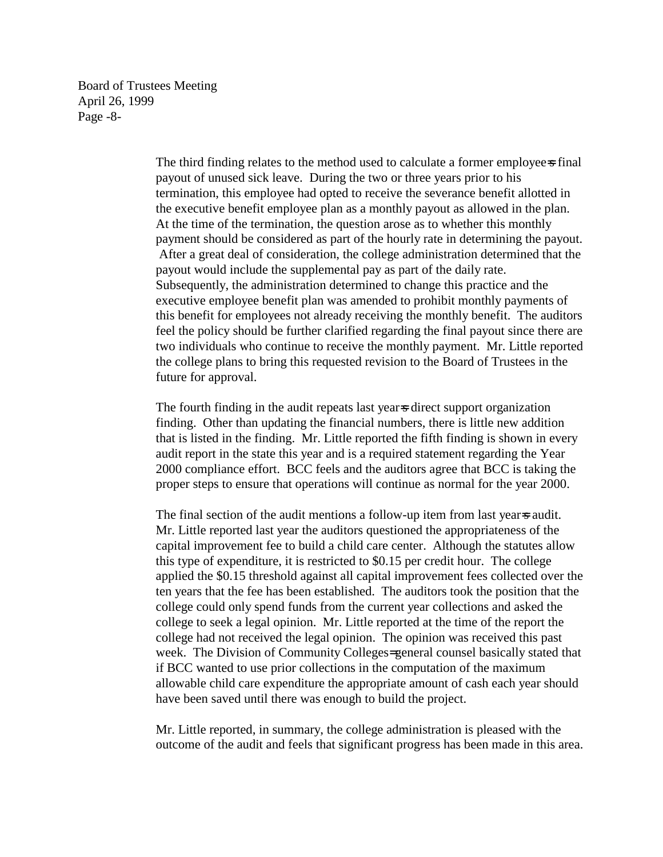Board of Trustees Meeting April 26, 1999 Page -8-

> The third finding relates to the method used to calculate a former employee=s final payout of unused sick leave. During the two or three years prior to his termination, this employee had opted to receive the severance benefit allotted in the executive benefit employee plan as a monthly payout as allowed in the plan. At the time of the termination, the question arose as to whether this monthly payment should be considered as part of the hourly rate in determining the payout. After a great deal of consideration, the college administration determined that the payout would include the supplemental pay as part of the daily rate. Subsequently, the administration determined to change this practice and the executive employee benefit plan was amended to prohibit monthly payments of this benefit for employees not already receiving the monthly benefit. The auditors feel the policy should be further clarified regarding the final payout since there are two individuals who continue to receive the monthly payment. Mr. Little reported the college plans to bring this requested revision to the Board of Trustees in the future for approval.

The fourth finding in the audit repeats last year is direct support organization finding. Other than updating the financial numbers, there is little new addition that is listed in the finding. Mr. Little reported the fifth finding is shown in every audit report in the state this year and is a required statement regarding the Year 2000 compliance effort. BCC feels and the auditors agree that BCC is taking the proper steps to ensure that operations will continue as normal for the year 2000.

The final section of the audit mentions a follow-up item from last year-s audit. Mr. Little reported last year the auditors questioned the appropriateness of the capital improvement fee to build a child care center. Although the statutes allow this type of expenditure, it is restricted to \$0.15 per credit hour. The college applied the \$0.15 threshold against all capital improvement fees collected over the ten years that the fee has been established. The auditors took the position that the college could only spend funds from the current year collections and asked the college to seek a legal opinion. Mr. Little reported at the time of the report the college had not received the legal opinion. The opinion was received this past week. The Division of Community Colleges= general counsel basically stated that if BCC wanted to use prior collections in the computation of the maximum allowable child care expenditure the appropriate amount of cash each year should have been saved until there was enough to build the project.

Mr. Little reported, in summary, the college administration is pleased with the outcome of the audit and feels that significant progress has been made in this area.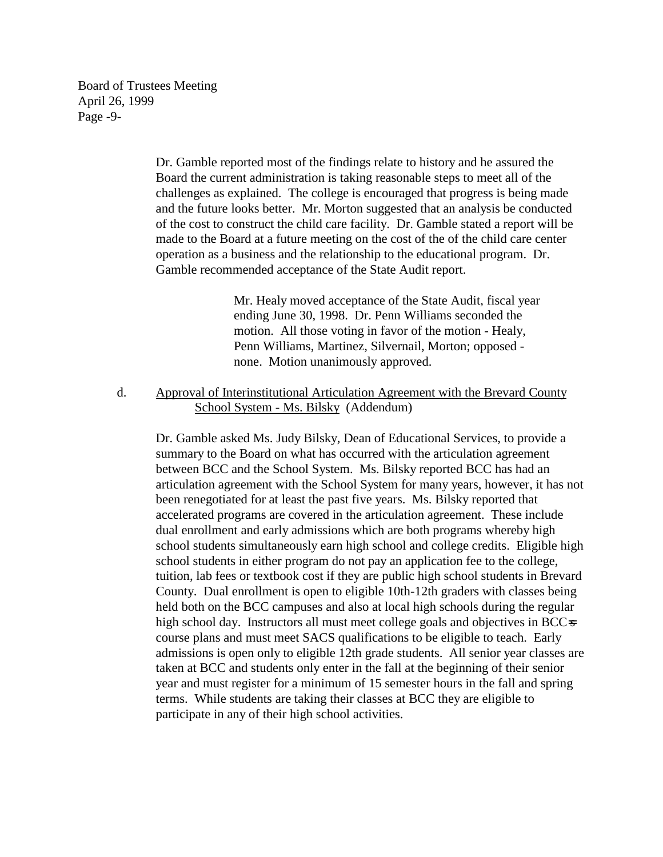Board of Trustees Meeting April 26, 1999 Page -9-

> Dr. Gamble reported most of the findings relate to history and he assured the Board the current administration is taking reasonable steps to meet all of the challenges as explained. The college is encouraged that progress is being made and the future looks better. Mr. Morton suggested that an analysis be conducted of the cost to construct the child care facility. Dr. Gamble stated a report will be made to the Board at a future meeting on the cost of the of the child care center operation as a business and the relationship to the educational program. Dr. Gamble recommended acceptance of the State Audit report.

> > Mr. Healy moved acceptance of the State Audit, fiscal year ending June 30, 1998. Dr. Penn Williams seconded the motion. All those voting in favor of the motion - Healy, Penn Williams, Martinez, Silvernail, Morton; opposed none. Motion unanimously approved.

d. Approval of Interinstitutional Articulation Agreement with the Brevard County School System - Ms. Bilsky (Addendum)

Dr. Gamble asked Ms. Judy Bilsky, Dean of Educational Services, to provide a summary to the Board on what has occurred with the articulation agreement between BCC and the School System. Ms. Bilsky reported BCC has had an articulation agreement with the School System for many years, however, it has not been renegotiated for at least the past five years. Ms. Bilsky reported that accelerated programs are covered in the articulation agreement. These include dual enrollment and early admissions which are both programs whereby high school students simultaneously earn high school and college credits. Eligible high school students in either program do not pay an application fee to the college, tuition, lab fees or textbook cost if they are public high school students in Brevard County. Dual enrollment is open to eligible 10th-12th graders with classes being held both on the BCC campuses and also at local high schools during the regular high school day. Instructors all must meet college goals and objectives in BCCs course plans and must meet SACS qualifications to be eligible to teach. Early admissions is open only to eligible 12th grade students. All senior year classes are taken at BCC and students only enter in the fall at the beginning of their senior year and must register for a minimum of 15 semester hours in the fall and spring terms. While students are taking their classes at BCC they are eligible to participate in any of their high school activities.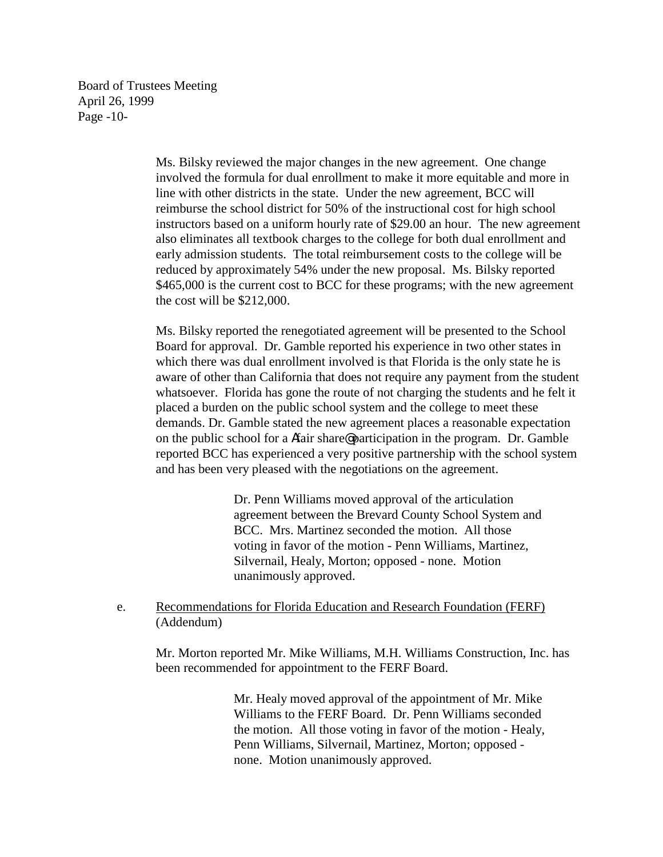Board of Trustees Meeting April 26, 1999 Page -10-

> Ms. Bilsky reviewed the major changes in the new agreement. One change involved the formula for dual enrollment to make it more equitable and more in line with other districts in the state. Under the new agreement, BCC will reimburse the school district for 50% of the instructional cost for high school instructors based on a uniform hourly rate of \$29.00 an hour. The new agreement also eliminates all textbook charges to the college for both dual enrollment and early admission students. The total reimbursement costs to the college will be reduced by approximately 54% under the new proposal. Ms. Bilsky reported \$465,000 is the current cost to BCC for these programs; with the new agreement the cost will be \$212,000.

> Ms. Bilsky reported the renegotiated agreement will be presented to the School Board for approval. Dr. Gamble reported his experience in two other states in which there was dual enrollment involved is that Florida is the only state he is aware of other than California that does not require any payment from the student whatsoever. Florida has gone the route of not charging the students and he felt it placed a burden on the public school system and the college to meet these demands. Dr. Gamble stated the new agreement places a reasonable expectation on the public school for a Afair share@ participation in the program. Dr. Gamble reported BCC has experienced a very positive partnership with the school system and has been very pleased with the negotiations on the agreement.

> > Dr. Penn Williams moved approval of the articulation agreement between the Brevard County School System and BCC. Mrs. Martinez seconded the motion. All those voting in favor of the motion - Penn Williams, Martinez, Silvernail, Healy, Morton; opposed - none. Motion unanimously approved.

e. Recommendations for Florida Education and Research Foundation (FERF) (Addendum)

Mr. Morton reported Mr. Mike Williams, M.H. Williams Construction, Inc. has been recommended for appointment to the FERF Board.

> Mr. Healy moved approval of the appointment of Mr. Mike Williams to the FERF Board. Dr. Penn Williams seconded the motion. All those voting in favor of the motion - Healy, Penn Williams, Silvernail, Martinez, Morton; opposed none. Motion unanimously approved.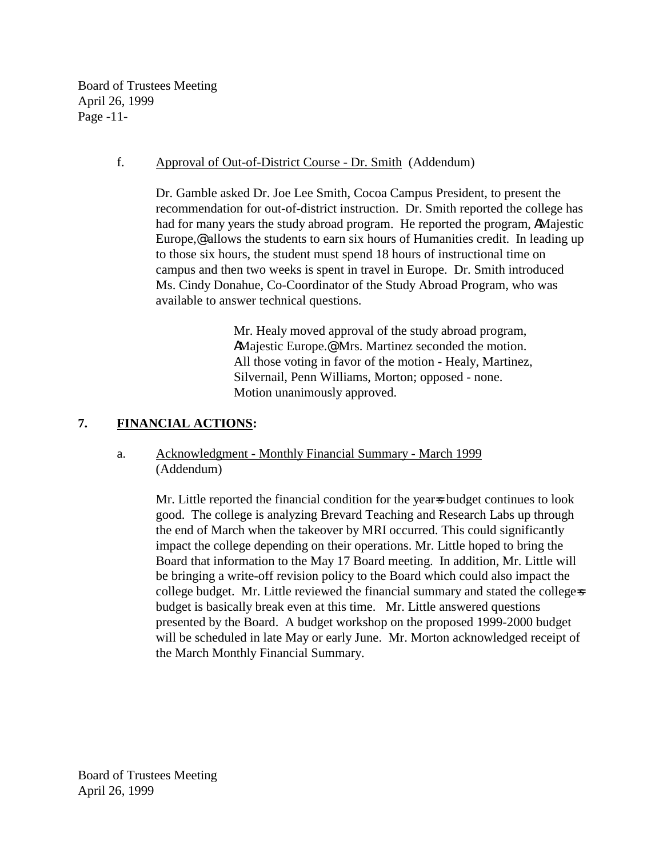Board of Trustees Meeting April 26, 1999 Page -11-

## f. Approval of Out-of-District Course - Dr. Smith (Addendum)

Dr. Gamble asked Dr. Joe Lee Smith, Cocoa Campus President, to present the recommendation for out-of-district instruction. Dr. Smith reported the college has had for many years the study abroad program. He reported the program, AMajestic Europe, $\mathcal{Q}$  allows the students to earn six hours of Humanities credit. In leading up to those six hours, the student must spend 18 hours of instructional time on campus and then two weeks is spent in travel in Europe. Dr. Smith introduced Ms. Cindy Donahue, Co-Coordinator of the Study Abroad Program, who was available to answer technical questions.

> Mr. Healy moved approval of the study abroad program, AMajestic Europe.@ Mrs. Martinez seconded the motion. All those voting in favor of the motion - Healy, Martinez, Silvernail, Penn Williams, Morton; opposed - none. Motion unanimously approved.

# **7. FINANCIAL ACTIONS:**

# a. Acknowledgment - Monthly Financial Summary - March 1999 (Addendum)

Mr. Little reported the financial condition for the year-s budget continues to look good. The college is analyzing Brevard Teaching and Research Labs up through the end of March when the takeover by MRI occurred. This could significantly impact the college depending on their operations. Mr. Little hoped to bring the Board that information to the May 17 Board meeting. In addition, Mr. Little will be bringing a write-off revision policy to the Board which could also impact the college budget. Mr. Little reviewed the financial summary and stated the college-s budget is basically break even at this time. Mr. Little answered questions presented by the Board. A budget workshop on the proposed 1999-2000 budget will be scheduled in late May or early June. Mr. Morton acknowledged receipt of the March Monthly Financial Summary.

Board of Trustees Meeting April 26, 1999